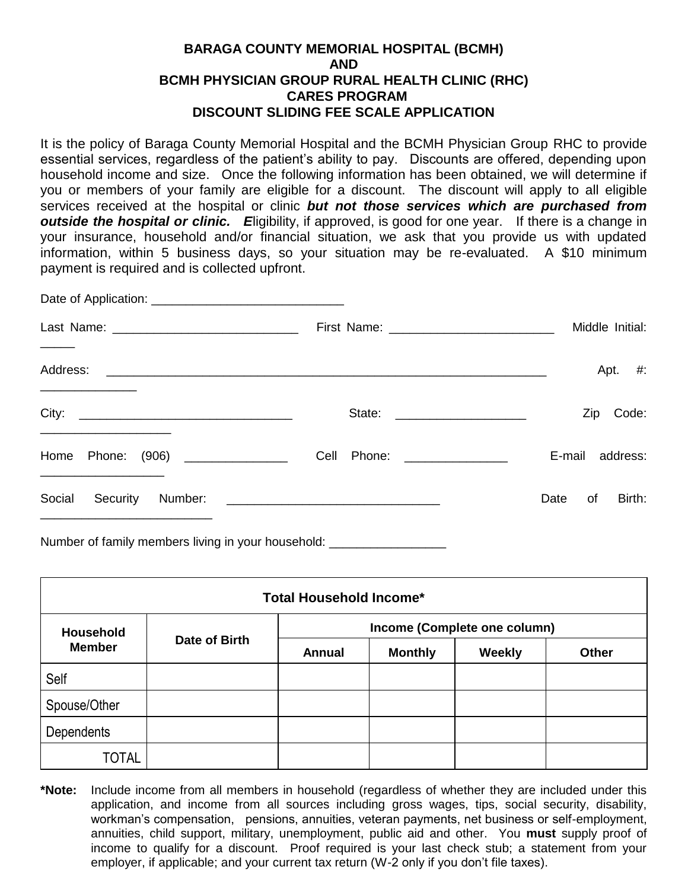## **BARAGA COUNTY MEMORIAL HOSPITAL (BCMH) AND BCMH PHYSICIAN GROUP RURAL HEALTH CLINIC (RHC) CARES PROGRAM DISCOUNT SLIDING FEE SCALE APPLICATION**

It is the policy of Baraga County Memorial Hospital and the BCMH Physician Group RHC to provide essential services, regardless of the patient's ability to pay. Discounts are offered, depending upon household income and size. Once the following information has been obtained, we will determine if you or members of your family are eligible for a discount. The discount will apply to all eligible services received at the hospital or clinic *but not those services which are purchased from outside the hospital or clinic. E*ligibility, if approved, is good for one year.If there is a change in your insurance, household and/or financial situation, we ask that you provide us with updated information, within 5 business days, so your situation may be re-evaluated. A \$10 minimum payment is required and is collected upfront.

|                                   |                             | Middle Initial:      |  |  |  |
|-----------------------------------|-----------------------------|----------------------|--|--|--|
|                                   |                             | Apt. $#$ :           |  |  |  |
|                                   |                             | Code:<br>Zip         |  |  |  |
| Home Phone: (906) _______________ | Cell Phone: _______________ | E-mail address:      |  |  |  |
| Social Security<br>Number:        |                             | Birth:<br>Date<br>of |  |  |  |

Number of family members living in your household:

| Total Household Income*           |               |                              |                |        |              |  |  |
|-----------------------------------|---------------|------------------------------|----------------|--------|--------------|--|--|
| <b>Household</b><br><b>Member</b> | Date of Birth | Income (Complete one column) |                |        |              |  |  |
|                                   |               | <b>Annual</b>                | <b>Monthly</b> | Weekly | <b>Other</b> |  |  |
| Self                              |               |                              |                |        |              |  |  |
| Spouse/Other                      |               |                              |                |        |              |  |  |
| <b>Dependents</b>                 |               |                              |                |        |              |  |  |
| <b>TOTAL</b>                      |               |                              |                |        |              |  |  |

**\*Note:** Include income from all members in household (regardless of whether they are included under this application, and income from all sources including gross wages, tips, social security, disability, workman's compensation, pensions, annuities, veteran payments, net business or self-employment, annuities, child support, military, unemployment, public aid and other. You **must** supply proof of income to qualify for a discount. Proof required is your last check stub; a statement from your employer, if applicable; and your current tax return (W-2 only if you don't file taxes).